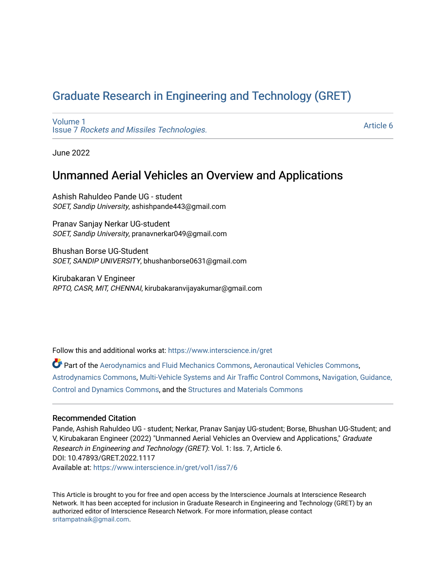# [Graduate Research in Engineering and Technology \(GRET\)](https://www.interscience.in/gret)

[Volume 1](https://www.interscience.in/gret/vol1) Issue 7 [Rockets and Missiles Technologies.](https://www.interscience.in/gret/vol1/iss7)

[Article 6](https://www.interscience.in/gret/vol1/iss7/6) 

June 2022

## Unmanned Aerial Vehicles an Overview and Applications

Ashish Rahuldeo Pande UG - student SOET, Sandip University, ashishpande443@gmail.com

Pranav Sanjay Nerkar UG-student SOET, Sandip University, pranavnerkar049@gmail.com

Bhushan Borse UG-Student SOET, SANDIP UNIVERSITY, bhushanborse0631@gmail.com

Kirubakaran V Engineer RPTO, CASR, MIT, CHENNAI, kirubakaranvijayakumar@gmail.com

Follow this and additional works at: [https://www.interscience.in/gret](https://www.interscience.in/gret?utm_source=www.interscience.in%2Fgret%2Fvol1%2Fiss7%2F6&utm_medium=PDF&utm_campaign=PDFCoverPages)

Part of the [Aerodynamics and Fluid Mechanics Commons,](https://network.bepress.com/hgg/discipline/222?utm_source=www.interscience.in%2Fgret%2Fvol1%2Fiss7%2F6&utm_medium=PDF&utm_campaign=PDFCoverPages) [Aeronautical Vehicles Commons,](https://network.bepress.com/hgg/discipline/219?utm_source=www.interscience.in%2Fgret%2Fvol1%2Fiss7%2F6&utm_medium=PDF&utm_campaign=PDFCoverPages) [Astrodynamics Commons](https://network.bepress.com/hgg/discipline/223?utm_source=www.interscience.in%2Fgret%2Fvol1%2Fiss7%2F6&utm_medium=PDF&utm_campaign=PDFCoverPages), [Multi-Vehicle Systems and Air Traffic Control Commons,](https://network.bepress.com/hgg/discipline/227?utm_source=www.interscience.in%2Fgret%2Fvol1%2Fiss7%2F6&utm_medium=PDF&utm_campaign=PDFCoverPages) [Navigation, Guidance,](https://network.bepress.com/hgg/discipline/226?utm_source=www.interscience.in%2Fgret%2Fvol1%2Fiss7%2F6&utm_medium=PDF&utm_campaign=PDFCoverPages) [Control and Dynamics Commons](https://network.bepress.com/hgg/discipline/226?utm_source=www.interscience.in%2Fgret%2Fvol1%2Fiss7%2F6&utm_medium=PDF&utm_campaign=PDFCoverPages), and the [Structures and Materials Commons](https://network.bepress.com/hgg/discipline/224?utm_source=www.interscience.in%2Fgret%2Fvol1%2Fiss7%2F6&utm_medium=PDF&utm_campaign=PDFCoverPages) 

## Recommended Citation

Pande, Ashish Rahuldeo UG - student; Nerkar, Pranav Sanjay UG-student; Borse, Bhushan UG-Student; and V, Kirubakaran Engineer (2022) "Unmanned Aerial Vehicles an Overview and Applications," Graduate Research in Engineering and Technology (GRET): Vol. 1: Iss. 7, Article 6. DOI: 10.47893/GRET.2022.1117 Available at: [https://www.interscience.in/gret/vol1/iss7/6](https://www.interscience.in/gret/vol1/iss7/6?utm_source=www.interscience.in%2Fgret%2Fvol1%2Fiss7%2F6&utm_medium=PDF&utm_campaign=PDFCoverPages)

This Article is brought to you for free and open access by the Interscience Journals at Interscience Research Network. It has been accepted for inclusion in Graduate Research in Engineering and Technology (GRET) by an authorized editor of Interscience Research Network. For more information, please contact [sritampatnaik@gmail.com](mailto:sritampatnaik@gmail.com).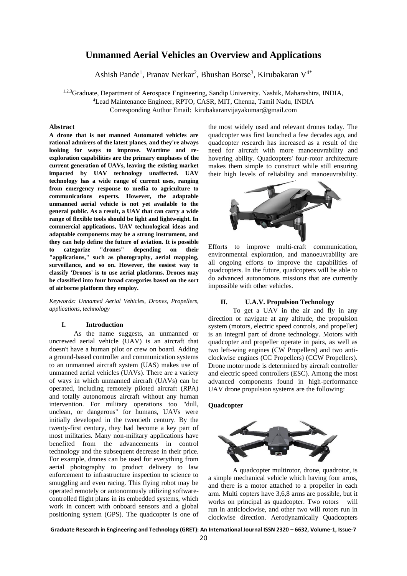## **Unmanned Aerial Vehicles an Overview and Applications**

Ashish Pande<sup>1</sup>, Pranav Nerkar<sup>2</sup>, Bhushan Borse<sup>3</sup>, Kirubakaran V<sup>4\*</sup>

1,2,3Graduate, Department of Aerospace Engineering, Sandip University. Nashik, Maharashtra, INDIA, <sup>4</sup>Lead Maintenance Engineer, RPTO, CASR, MIT, Chenna, Tamil Nadu, INDIA Corresponding Author Email: kirubakaranvijayakumar@gmail.com

#### **Abstract**

**A drone that is not manned Automated vehicles are rational admirers of the latest planes, and they're always looking for ways to improve. Wartime and reexploration capabilities are the primary emphases of the current generation of UAVs, leaving the existing market impacted by UAV technology unaffected. UAV technology has a wide range of current uses, ranging from emergency response to media to agriculture to communications experts. However, the adaptable unmanned aerial vehicle is not yet available to the general public. As a result, a UAV that can carry a wide range of flexible tools should be light and lightweight. In commercial applications, UAV technological ideas and adaptable components may be a strong instrument, and they can help define the future of aviation. It is possible to categorize "drones" depending on their "applications," such as photography, aerial mapping, surveillance, and so on. However, the easiest way to classify 'Drones' is to use aerial platforms. Drones may be classified into four broad categories based on the sort of airborne platform they employ.**

*Keywords: Unnamed Aerial Vehicles, Drones, Propellers, applications, technology*

#### **I. Introduction**

As the name suggests, an unmanned or uncrewed aerial vehicle (UAV) is an aircraft that doesn't have a human pilot or crew on board. Adding a ground-based controller and communication systems to an unmanned aircraft system (UAS) makes use of unmanned aerial vehicles (UAVs). There are a variety of ways in which unmanned aircraft (UAVs) can be operated, including remotely piloted aircraft (RPA) and totally autonomous aircraft without any human intervention. For military operations too "dull, unclean, or dangerous" for humans, UAVs were initially developed in the twentieth century. By the twenty-first century, they had become a key part of most militaries. Many non-military applications have benefited from the advancements in control technology and the subsequent decrease in their price. For example, drones can be used for everything from aerial photography to product delivery to law enforcement to infrastructure inspection to science to smuggling and even racing. This flying robot may be operated remotely or autonomously utilizing softwarecontrolled flight plans in its embedded systems, which work in concert with onboard sensors and a global positioning system (GPS). The quadcopter is one of

the most widely used and relevant drones today. The quadcopter was first launched a few decades ago, and quadcopter research has increased as a result of the need for aircraft with more manoeuvrability and hovering ability. Quadcopters' four-rotor architecture makes them simple to construct while still ensuring their high levels of reliability and manoeuvrability.



Efforts to improve multi-craft communication, environmental exploration, and manoeuvrability are all ongoing efforts to improve the capabilities of quadcopters. In the future, quadcopters will be able to do advanced autonomous missions that are currently impossible with other vehicles.

#### **II. U.A.V. Propulsion Technology**

To get a UAV in the air and fly in any direction or navigate at any altitude, the propulsion system (motors, electric speed controls, and propeller) is an integral part of drone technology. Motors with quadcopter and propeller operate in pairs, as well as two left-wing engines (CW Propellers) and two anticlockwise engines (CC Propellers) (CCW Propellers). Drone motor mode is determined by aircraft controller and electric speed controllers (ESC). Among the most advanced components found in high-performance UAV drone propulsion systems are the following:

#### **Quadcopter**



A quadcopter multirotor, drone, quadrotor, is a simple mechanical vehicle which having four arms, and there is a motor attached to a propeller in each arm. Multi copters have 3,6,8 arms are possible, but it works on principal as quadcopter. Two rotors will run in anticlockwise, and other two will rotors run in clockwise direction. Aerodynamically Quadcopters

**Graduate Research in Engineering and Technology (GRET): An International Journal ISSN 2320 – 6632, Volume-1, Issue-7**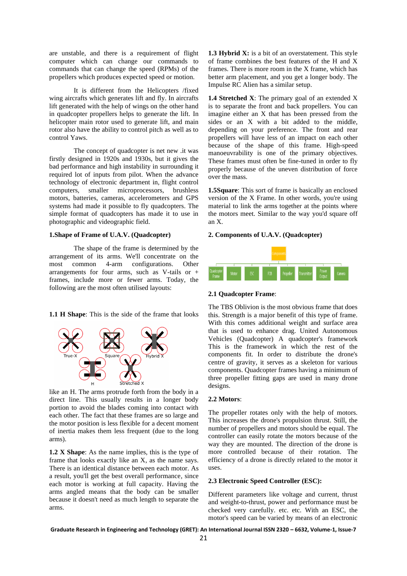are unstable, and there is a requirement of flight computer which can change our commands to commands that can change the speed (RPMs) of the propellers which produces expected speed or motion.

It is different from the Helicopters /fixed wing aircrafts which generates lift and fly. In aircrafts lift generated with the help of wings on the other hand in quadcopter propellers helps to generate the lift. In helicopter main rotor used to generate lift, and main rotor also have the ability to control pitch as well as to control Yaws.

The concept of quadcopter is net new .it was firstly designed in 1920s and 1930s, but it gives the bad performance and high instability in surrounding it required lot of inputs from pilot. When the advance technology of electronic department in, flight control computers, smaller microprocessors, brushless motors, batteries, cameras, accelerometers and GPS systems had made it possible to fly quadcopters. The simple format of quadcopters has made it to use in photographic and videographic field.

#### **1.Shape of Frame of U.A.V. (Quadcopter)**

The shape of the frame is determined by the arrangement of its arms. We'll concentrate on the most common 4-arm configurations. Other arrangements for four arms, such as V-tails or + frames, include more or fewer arms. Today, the following are the most often utilised layouts:

**1.1 H Shape**: This is the side of the frame that looks



like an H. The arms protrude forth from the body in a direct line. This usually results in a longer body portion to avoid the blades coming into contact with each other. The fact that these frames are so large and the motor position is less flexible for a decent moment of inertia makes them less frequent (due to the long arms).

**1.2 X Shape**: As the name implies, this is the type of frame that looks exactly like an X, as the name says. There is an identical distance between each motor. As a result, you'll get the best overall performance, since each motor is working at full capacity. Having the arms angled means that the body can be smaller because it doesn't need as much length to separate the arms.

**1.3 Hybrid X:** is a bit of an overstatement. This style of frame combines the best features of the H and X frames. There is more room in the X frame, which has better arm placement, and you get a longer body. The Impulse RC Alien has a similar setup.

**1.4 Stretched X**: The primary goal of an extended X is to separate the front and back propellers. You can imagine either an X that has been pressed from the sides or an X with a bit added to the middle, depending on your preference. The front and rear propellers will have less of an impact on each other because of the shape of this frame. High-speed manoeuvrability is one of the primary objectives. These frames must often be fine-tuned in order to fly properly because of the uneven distribution of force over the mass.

**1.5Square**: This sort of frame is basically an enclosed version of the X Frame. In other words, you're using material to link the arms together at the points where the motors meet. Similar to the way you'd square off an X.

#### **2. Components of U.A.V. (Quadcopter)**



#### **2.1 Quadcopter Frame**:

The TBS Oblivion is the most obvious frame that does this. Strength is a major benefit of this type of frame. With this comes additional weight and surface area that is used to enhance drag. United Autonomous Vehicles (Quadcopter) A quadcopter's framework This is the framework in which the rest of the components fit. In order to distribute the drone's centre of gravity, it serves as a skeleton for various components. Quadcopter frames having a minimum of three propeller fitting gaps are used in many drone designs.

#### **2.2 Motors**:

The propeller rotates only with the help of motors. This increases the drone's propulsion thrust. Still, the number of propellers and motors should be equal. The controller can easily rotate the motors because of the way they are mounted. The direction of the drone is more controlled because of their rotation. The efficiency of a drone is directly related to the motor it uses.

#### **2.3 Electronic Speed Controller (ESC):**

Different parameters like voltage and current, thrust and weight-to-thrust, power and performance must be checked very carefully. etc. etc. With an ESC, the motor's speed can be varied by means of an electronic

**Graduate Research in Engineering and Technology (GRET): An International Journal ISSN 2320 – 6632, Volume-1, Issue-7**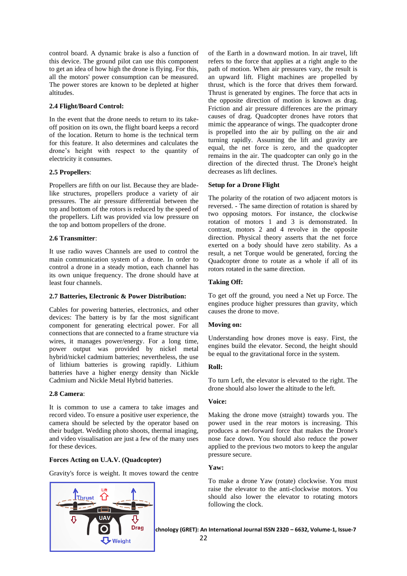control board. A dynamic brake is also a function of this device. The ground pilot can use this component to get an idea of how high the drone is flying. For this, all the motors' power consumption can be measured. The power stores are known to be depleted at higher altitudes.

## **2.4 Flight/Board Control:**

In the event that the drone needs to return to its takeoff position on its own, the flight board keeps a record of the location. Return to home is the technical term for this feature. It also determines and calculates the drone's height with respect to the quantity of electricity it consumes.

## **2.5 Propellers**:

Propellers are fifth on our list. Because they are bladelike structures, propellers produce a variety of air pressures. The air pressure differential between the top and bottom of the rotors is reduced by the speed of the propellers. Lift was provided via low pressure on the top and bottom propellers of the drone.

## **2.6 Transmitter**:

It use radio waves Channels are used to control the main communication system of a drone. In order to control a drone in a steady motion, each channel has its own unique frequency. The drone should have at least four channels.

## **2.7 Batteries, Electronic & Power Distribution:**

Cables for powering batteries, electronics, and other devices: The battery is by far the most significant component for generating electrical power. For all connections that are connected to a frame structure via wires, it manages power/energy. For a long time, power output was provided by nickel metal hybrid/nickel cadmium batteries; nevertheless, the use of lithium batteries is growing rapidly. Lithium batteries have a higher energy density than Nickle Cadmium and Nickle Metal Hybrid batteries.

## **2.8 Camera**:

It is common to use a camera to take images and record video. To ensure a positive user experience, the camera should be selected by the operator based on their budget. Wedding photo shoots, thermal imaging, and video visualisation are just a few of the many uses for these devices.

## **Forces Acting on U.A.V. (Quadcopter)**

Gravity's force is weight. It moves toward the centre



of the Earth in a downward motion. In air travel, lift refers to the force that applies at a right angle to the path of motion. When air pressures vary, the result is an upward lift. Flight machines are propelled by thrust, which is the force that drives them forward. Thrust is generated by engines. The force that acts in the opposite direction of motion is known as drag. Friction and air pressure differences are the primary causes of drag. Quadcopter drones have rotors that mimic the appearance of wings. The quadcopter drone is propelled into the air by pulling on the air and turning rapidly. Assuming the lift and gravity are equal, the net force is zero, and the quadcopter remains in the air. The quadcopter can only go in the direction of the directed thrust. The Drone's height decreases as lift declines.

## **Setup for a Drone Flight**

The polarity of the rotation of two adjacent motors is reversed. - The same direction of rotation is shared by two opposing motors. For instance, the clockwise rotation of motors 1 and 3 is demonstrated. In contrast, motors 2 and 4 revolve in the opposite direction. Physical theory asserts that the net force exerted on a body should have zero stability. As a result, a net Torque would be generated, forcing the Quadcopter drone to rotate as a whole if all of its rotors rotated in the same direction.

## **Taking Off:**

To get off the ground, you need a Net up Force. The engines produce higher pressures than gravity, which causes the drone to move.

## **Moving on:**

Understanding how drones move is easy. First, the engines build the elevator. Second, the height should be equal to the gravitational force in the system.

## **Roll:**

To turn Left, the elevator is elevated to the right. The drone should also lower the altitude to the left.

## **Voice:**

Making the drone move (straight) towards you. The power used in the rear motors is increasing. This produces a net-forward force that makes the Drone's nose face down. You should also reduce the power applied to the previous two motors to keep the angular pressure secure.

## **Yaw:**

To make a drone Yaw (rotate) clockwise. You must raise the elevator to the anti-clockwise motors. You should also lower the elevator to rotating motors following the clock.